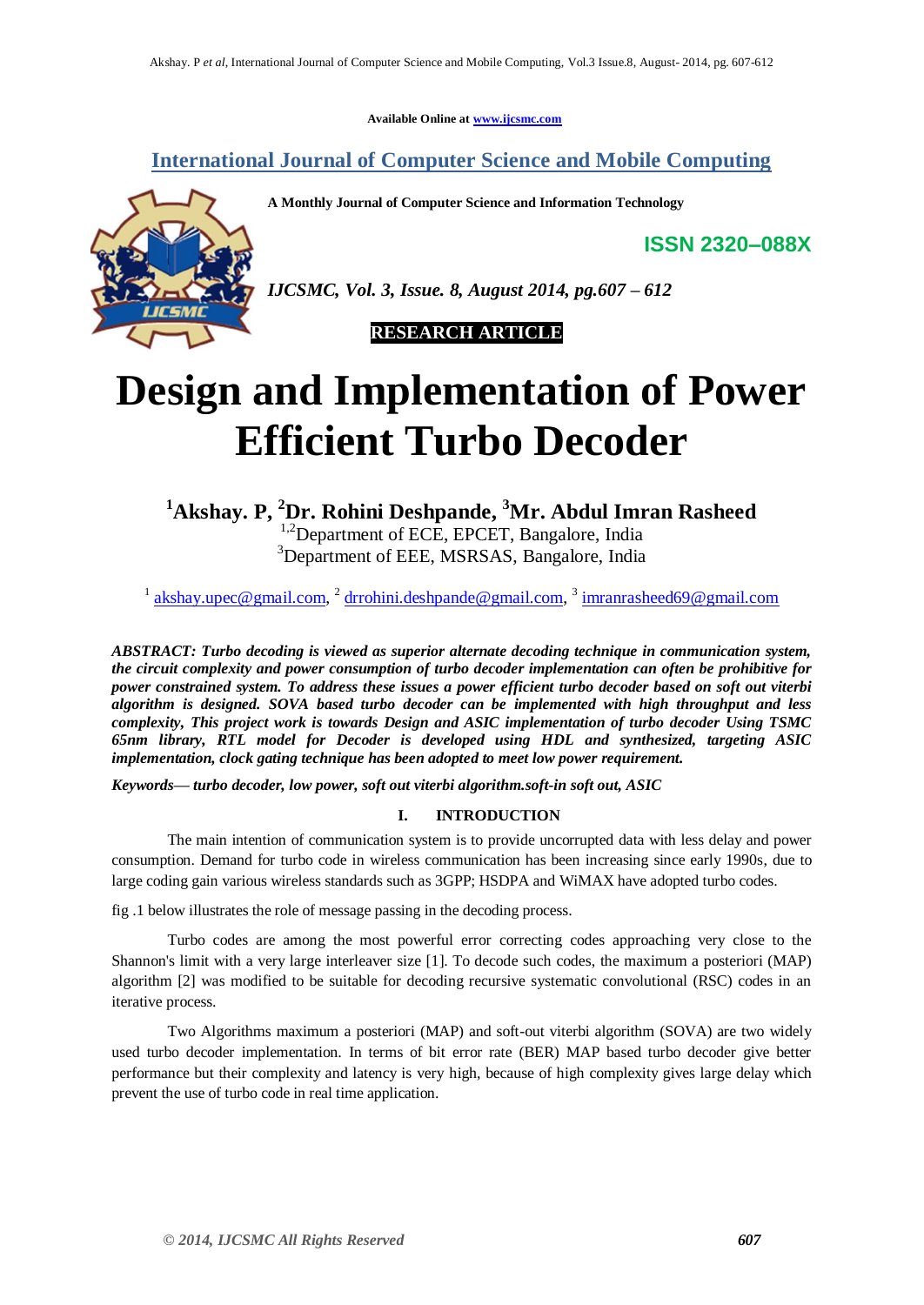**Available Online at www.ijcsmc.com**

**International Journal of Computer Science and Mobile Computing**

**A Monthly Journal of Computer Science and Information Technology**

**ISSN 2320–088X**



*IJCSMC, Vol. 3, Issue. 8, August 2014, pg.607 – 612*

 **RESEARCH ARTICLE**

# **Design and Implementation of Power Efficient Turbo Decoder**

**<sup>1</sup>Akshay. P, <sup>2</sup>Dr. Rohini Deshpande, <sup>3</sup>Mr. Abdul Imran Rasheed** <sup>1,2</sup>Department of ECE, EPCET, Bangalore, India <sup>3</sup>Department of EEE, MSRSAS, Bangalore, India

<sup>1</sup> akshay.upec@gmail.com, <sup>2</sup> drrohini.deshpande@gmail.com, <sup>3</sup> imranrasheed69@gmail.com

*ABSTRACT: Turbo decoding is viewed as superior alternate decoding technique in communication system, the circuit complexity and power consumption of turbo decoder implementation can often be prohibitive for power constrained system. To address these issues a power efficient turbo decoder based on soft out viterbi algorithm is designed. SOVA based turbo decoder can be implemented with high throughput and less complexity, This project work is towards Design and ASIC implementation of turbo decoder Using TSMC 65nm library, RTL model for Decoder is developed using HDL and synthesized, targeting ASIC implementation, clock gating technique has been adopted to meet low power requirement.*

*Keywords— turbo decoder, low power, soft out viterbi algorithm.soft-in soft out, ASIC*

# **I. INTRODUCTION**

The main intention of communication system is to provide uncorrupted data with less delay and power consumption. Demand for turbo code in wireless communication has been increasing since early 1990s, due to large coding gain various wireless standards such as 3GPP; HSDPA and WiMAX have adopted turbo codes.

fig .1 below illustrates the role of message passing in the decoding process.

Turbo codes are among the most powerful error correcting codes approaching very close to the Shannon's limit with a very large interleaver size [1]. To decode such codes, the maximum a posteriori (MAP) algorithm [2] was modified to be suitable for decoding recursive systematic convolutional (RSC) codes in an iterative process.

Two Algorithms maximum a posteriori (MAP) and soft-out viterbi algorithm (SOVA) are two widely used turbo decoder implementation. In terms of bit error rate (BER) MAP based turbo decoder give better performance but their complexity and latency is very high, because of high complexity gives large delay which prevent the use of turbo code in real time application.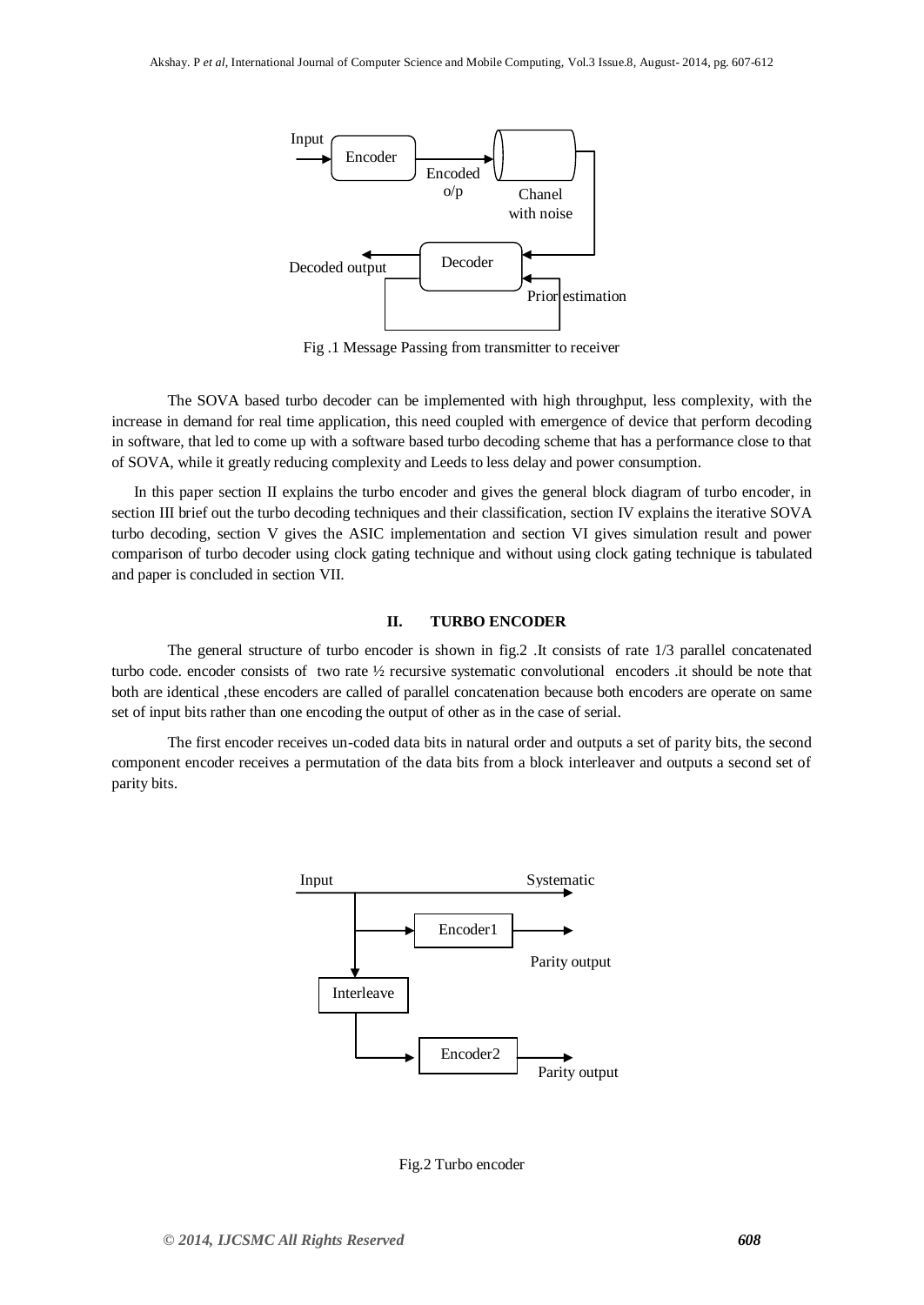

Fig .1 Message Passing from transmitter to receiver

The SOVA based turbo decoder can be implemented with high throughput, less complexity, with the increase in demand for real time application, this need coupled with emergence of device that perform decoding in software, that led to come up with a software based turbo decoding scheme that has a performance close to that of SOVA, while it greatly reducing complexity and Leeds to less delay and power consumption.

In this paper section II explains the turbo encoder and gives the general block diagram of turbo encoder, in section III brief out the turbo decoding techniques and their classification, section IV explains the iterative SOVA turbo decoding, section V gives the ASIC implementation and section VI gives simulation result and power comparison of turbo decoder using clock gating technique and without using clock gating technique is tabulated and paper is concluded in section VII.

#### **II. TURBO ENCODER**

The general structure of turbo encoder is shown in fig.2 .It consists of rate 1/3 parallel concatenated turbo code. encoder consists of two rate ½ recursive systematic convolutional encoders .it should be note that both are identical ,these encoders are called of parallel concatenation because both encoders are operate on same set of input bits rather than one encoding the output of other as in the case of serial.

The first encoder receives un-coded data bits in natural order and outputs a set of parity bits, the second component encoder receives a permutation of the data bits from a block interleaver and outputs a second set of parity bits.



Fig.2 Turbo encoder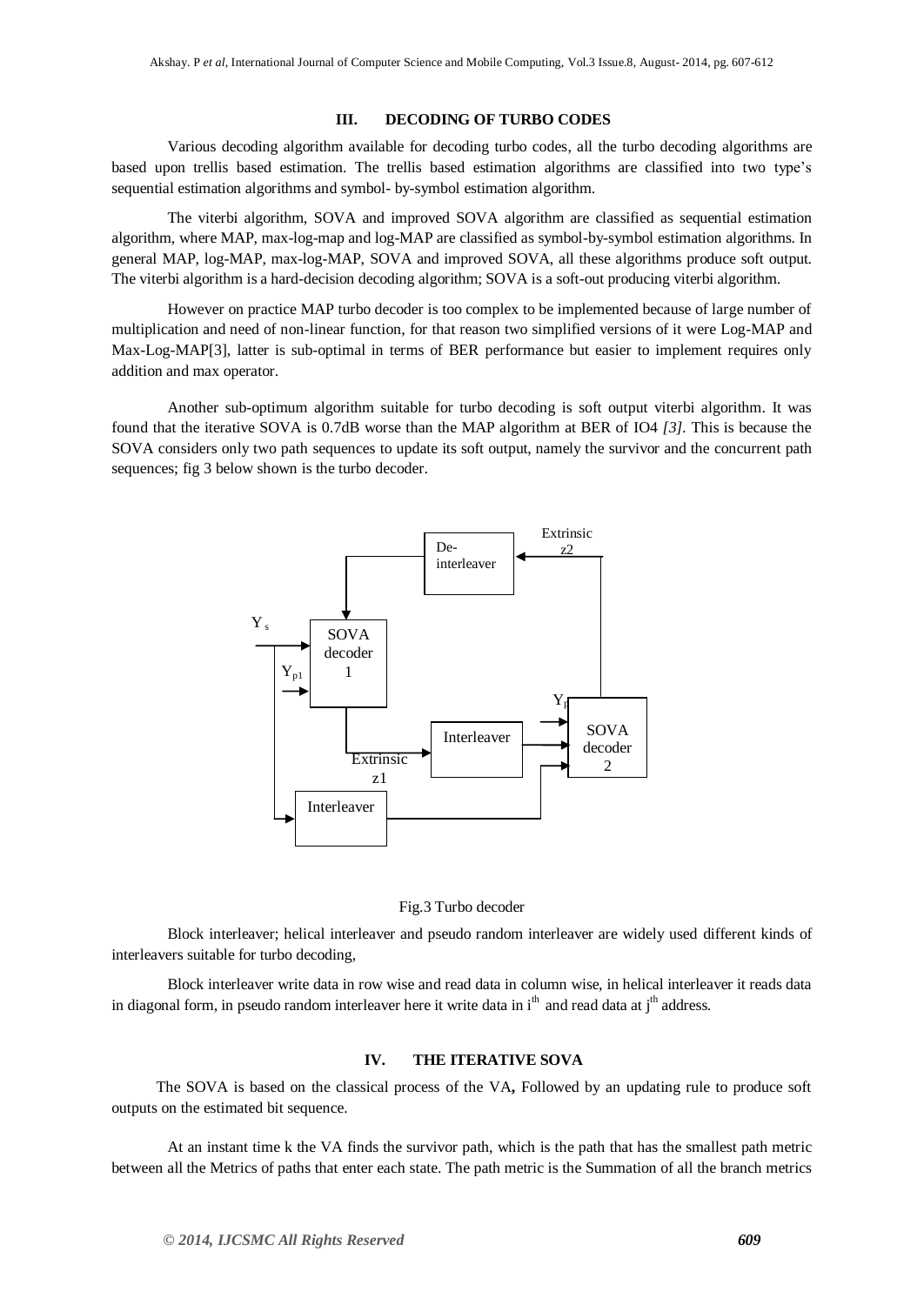#### **III. DECODING OF TURBO CODES**

Various decoding algorithm available for decoding turbo codes, all the turbo decoding algorithms are based upon trellis based estimation. The trellis based estimation algorithms are classified into two type's sequential estimation algorithms and symbol- by-symbol estimation algorithm.

The viterbi algorithm, SOVA and improved SOVA algorithm are classified as sequential estimation algorithm, where MAP, max-log-map and log-MAP are classified as symbol-by-symbol estimation algorithms. In general MAP, log-MAP, max-log-MAP, SOVA and improved SOVA, all these algorithms produce soft output. The viterbi algorithm is a hard-decision decoding algorithm; SOVA is a soft-out producing viterbi algorithm.

However on practice MAP turbo decoder is too complex to be implemented because of large number of multiplication and need of non-linear function, for that reason two simplified versions of it were Log-MAP and Max-Log-MAP[3], latter is sub-optimal in terms of BER performance but easier to implement requires only addition and max operator.

Another sub-optimum algorithm suitable for turbo decoding is soft output viterbi algorithm. It was found that the iterative SOVA is 0.7dB worse than the MAP algorithm at BER of IO4 *[3].* This is because the SOVA considers only two path sequences to update its soft output, namely the survivor and the concurrent path sequences; fig 3 below shown is the turbo decoder.





Block interleaver; helical interleaver and pseudo random interleaver are widely used different kinds of interleavers suitable for turbo decoding,

Block interleaver write data in row wise and read data in column wise, in helical interleaver it reads data in diagonal form, in pseudo random interleaver here it write data in  $i<sup>th</sup>$  and read data at  $i<sup>th</sup>$  address.

#### **IV. THE ITERATIVE SOVA**

The SOVA is based on the classical process of the VA**,** Followed by an updating rule to produce soft outputs on the estimated bit sequence.

At an instant time k the VA finds the survivor path, which is the path that has the smallest path metric between all the Metrics of paths that enter each state. The path metric is the Summation of all the branch metrics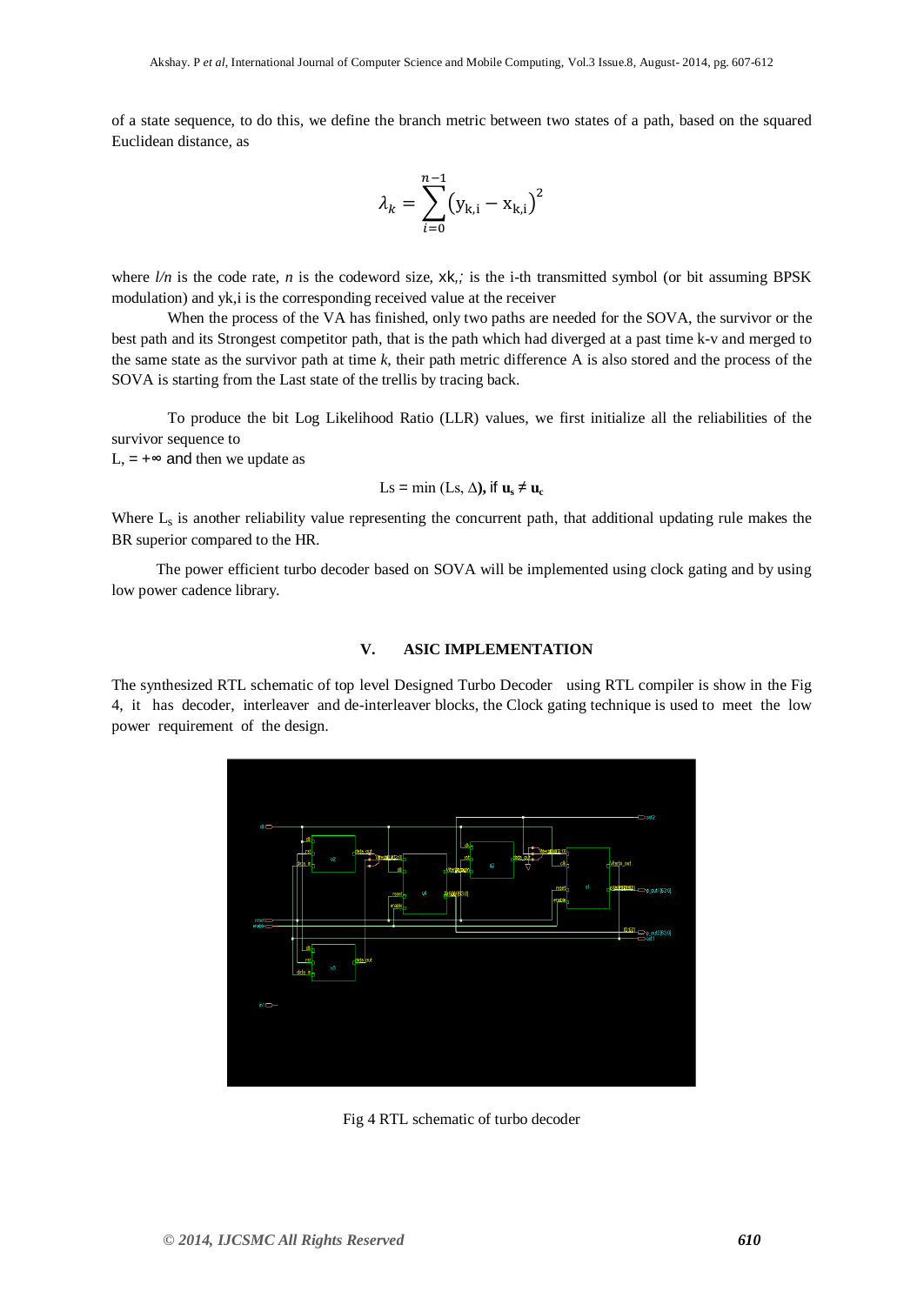of a state sequence, to do this, we define the branch metric between two states of a path, based on the squared Euclidean distance, as

$$
\lambda_k = \sum_{i=0}^{n-1} (y_{k,i} - x_{k,i})^2
$$

where  $l/n$  is the code rate, *n* is the codeword size, xk,; is the i-th transmitted symbol (or bit assuming BPSK modulation) and yk,i is the corresponding received value at the receiver

When the process of the VA has finished, only two paths are needed for the SOVA, the survivor or the best path and its Strongest competitor path, that is the path which had diverged at a past time k-v and merged to the same state as the survivor path at time *k,* their path metric difference A is also stored and the process of the SOVA is starting from the Last state of the trellis by tracing back.

To produce the bit Log Likelihood Ratio (LLR) values, we first initialize all the reliabilities of the survivor sequence to

L,  $= +∞$  and then we update as

$$
Ls = \min (Ls, \Delta), \text{if } \mathbf{u}_s \neq \mathbf{u}_c
$$

Where  $L_s$  is another reliability value representing the concurrent path, that additional updating rule makes the BR superior compared to the HR.

The power efficient turbo decoder based on SOVA will be implemented using clock gating and by using low power cadence library.

## **V. ASIC IMPLEMENTATION**

The synthesized RTL schematic of top level Designed Turbo Decoder using RTL compiler is show in the Fig 4, it has decoder, interleaver and de-interleaver blocks, the Clock gating technique is used to meet the low power requirement of the design.



Fig 4 RTL schematic of turbo decoder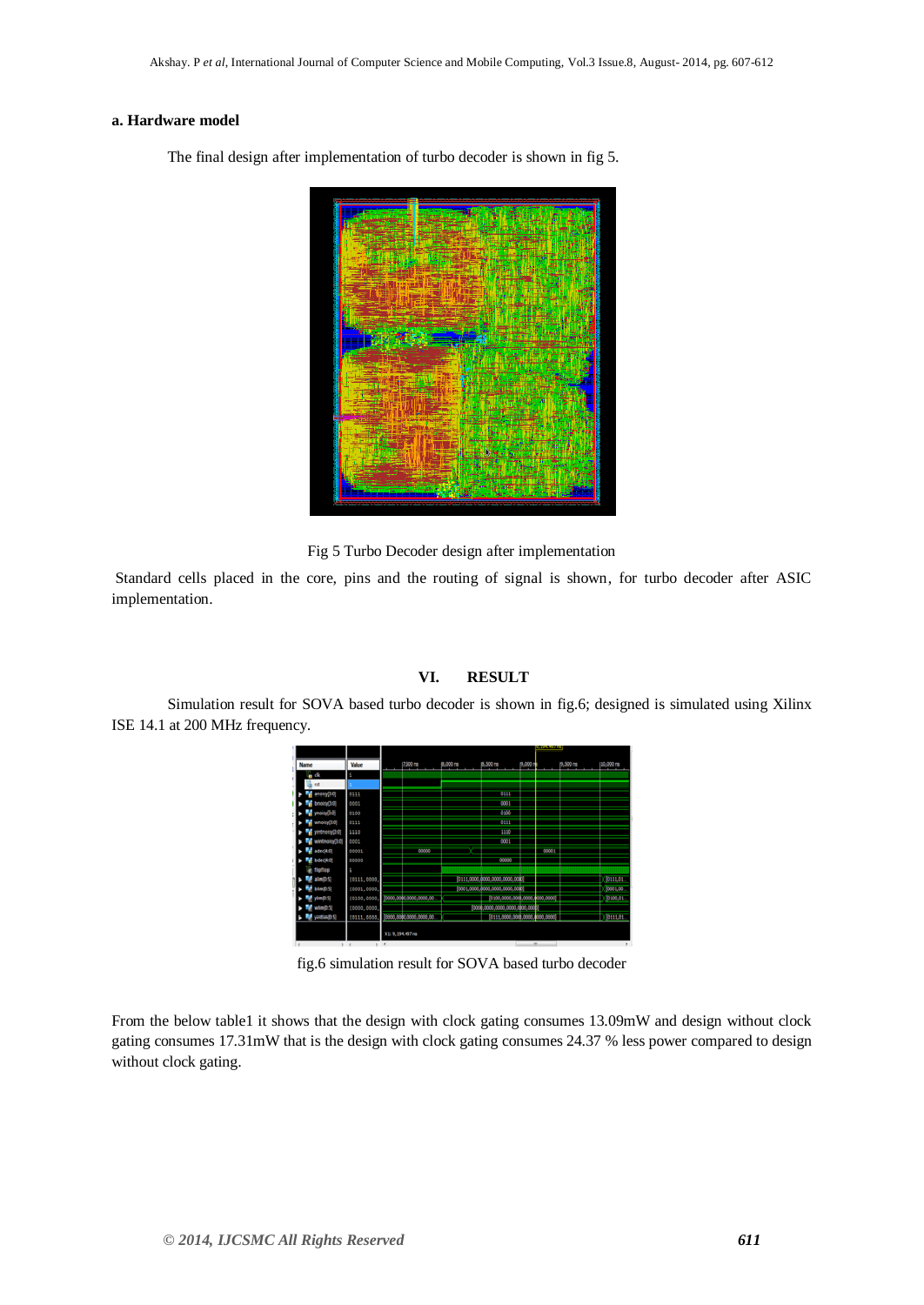### **a. Hardware model**

The final design after implementation of turbo decoder is shown in fig 5.

Fig 5 Turbo Decoder design after implementation

 $\overline{\phantom{a}}$ 

Standard cells placed in the core, pins and the routing of signal is shown, for turbo decoder after ASIC implementation.

# **VI. RESULT**

Simulation result for SOVA based turbo decoder is shown in fig.6; designed is simulated using Xilinx ISE 14.1 at 200 MHz frequency.

|                                    |                        |          |                                 | 9,294,497 mi |       |          |            |
|------------------------------------|------------------------|----------|---------------------------------|--------------|-------|----------|------------|
| Value<br>Name                      | $(7,500 \text{ rad})$  | B.000 ns | 8,500 mg                        | 9,000+       |       | p.500 ms | 10,000 rs  |
| 自我<br>a,                           |                        |          |                                 |              |       |          |            |
| est                                |                        |          |                                 |              |       |          |            |
| anoicy(3:0)<br>0111                |                        |          | 6111                            |              |       |          |            |
| 0001<br>bnoisy(3.0)                |                        |          | 0001                            |              |       |          |            |
| ynoisy30<br>0100                   |                        |          | 0300                            |              |       |          |            |
| 0111<br>whoisy(3:0)                |                        |          | 0111                            |              |       |          |            |
| 1110<br>(O.C) crisership           |                        |          | 1110                            |              |       |          |            |
| wintnoisy(10)<br>0001              |                        |          | 0001                            |              |       |          |            |
| 00001<br>adec(4:0)                 | 00000                  |          |                                 |              | 00001 |          |            |
| 00000<br>bdec(4.0)                 |                        |          | 00000                           |              |       |          |            |
| tiofico                            |                        |          |                                 |              |       |          |            |
| (0111,0000)<br>2.0m                |                        |          | [0111.0000.0000.0000.0000.0000] |              |       |          | [0111, 01] |
| mp <sub>S</sub><br>(0001,0000      |                        |          | [3001,0000.0000,0000,0000,0000] |              |       |          | [0001,00   |
| (0100,0000)<br>$-0.9$              | 00.0000.0000.0000.00   |          | [0100,0000,0000,0000,0000,0000] |              |       |          | 10100,01   |
| (0003,0003<br>$-0.5$               |                        |          | [3000,0000,0000,0000,0000,000   |              |       |          |            |
| <b>International</b><br>(0111,0000 | 0000,0000,0000,0000,00 |          | [0111,0000,0000,0000,0000,0000] |              |       |          | [011101    |
|                                    |                        |          |                                 |              |       |          |            |
|                                    | X1: 9, 194, 497 ns     |          |                                 |              |       |          |            |

fig.6 simulation result for SOVA based turbo decoder

From the below table1 it shows that the design with clock gating consumes 13.09mW and design without clock gating consumes 17.31mW that is the design with clock gating consumes 24.37 % less power compared to design without clock gating.